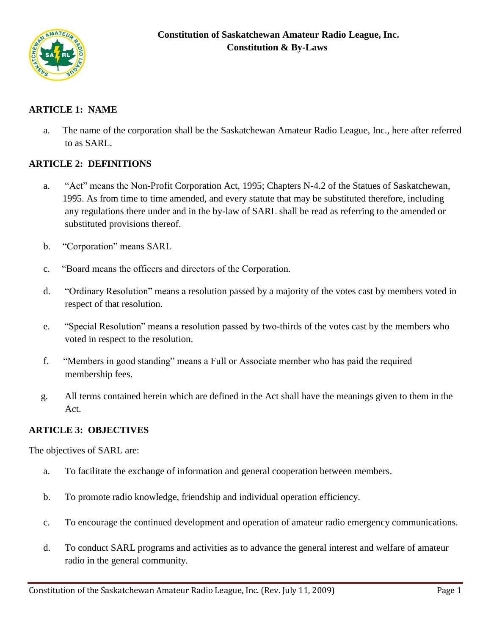

# **ARTICLE 1: NAME**

 a. The name of the corporation shall be the Saskatchewan Amateur Radio League, Inc., here after referred to as SARL.

# **ARTICLE 2: DEFINITIONS**

- a. "Act" means the Non-Profit Corporation Act, 1995; Chapters N-4.2 of the Statues of Saskatchewan, 1995. As from time to time amended, and every statute that may be substituted therefore, including any regulations there under and in the by-law of SARL shall be read as referring to the amended or substituted provisions thereof.
- b. "Corporation" means SARL
- c. "Board means the officers and directors of the Corporation.
- d. "Ordinary Resolution" means a resolution passed by a majority of the votes cast by members voted in respect of that resolution.
- e. "Special Resolution" means a resolution passed by two-thirds of the votes cast by the members who voted in respect to the resolution.
- f. "Members in good standing" means a Full or Associate member who has paid the required membership fees.
- g. All terms contained herein which are defined in the Act shall have the meanings given to them in the Act.

## **ARTICLE 3: OBJECTIVES**

The objectives of SARL are:

- a. To facilitate the exchange of information and general cooperation between members.
- b. To promote radio knowledge, friendship and individual operation efficiency.
- c. To encourage the continued development and operation of amateur radio emergency communications.
- d. To conduct SARL programs and activities as to advance the general interest and welfare of amateur radio in the general community.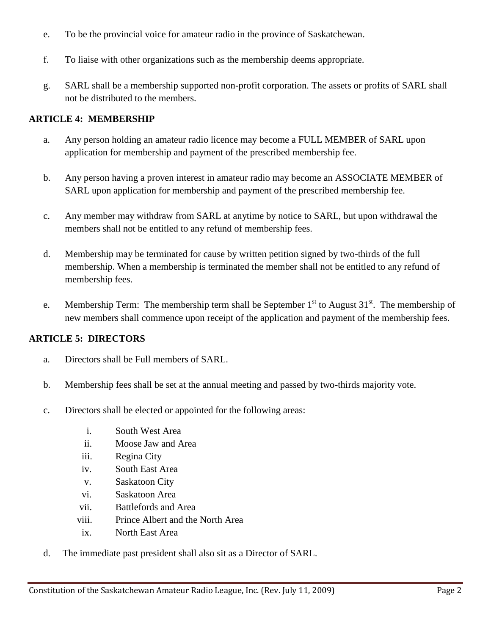- e. To be the provincial voice for amateur radio in the province of Saskatchewan.
- f. To liaise with other organizations such as the membership deems appropriate.
- g. SARL shall be a membership supported non-profit corporation. The assets or profits of SARL shall not be distributed to the members.

#### **ARTICLE 4: MEMBERSHIP**

- a. Any person holding an amateur radio licence may become a FULL MEMBER of SARL upon application for membership and payment of the prescribed membership fee.
- b. Any person having a proven interest in amateur radio may become an ASSOCIATE MEMBER of SARL upon application for membership and payment of the prescribed membership fee.
- c. Any member may withdraw from SARL at anytime by notice to SARL, but upon withdrawal the members shall not be entitled to any refund of membership fees.
- d. Membership may be terminated for cause by written petition signed by two-thirds of the full membership. When a membership is terminated the member shall not be entitled to any refund of membership fees.
- e. Membership Term: The membership term shall be September  $1<sup>st</sup>$  to August 31 $<sup>st</sup>$ . The membership of</sup> new members shall commence upon receipt of the application and payment of the membership fees.

#### **ARTICLE 5: DIRECTORS**

- a. Directors shall be Full members of SARL.
- b. Membership fees shall be set at the annual meeting and passed by two-thirds majority vote.
- c. Directors shall be elected or appointed for the following areas:
	- i. South West Area
	- ii. Moose Jaw and Area
	- iii. Regina City
	- iv. South East Area
	- v. Saskatoon City
	- vi. Saskatoon Area
	- vii. Battlefords and Area
	- viii. Prince Albert and the North Area
	- ix. North East Area
- d. The immediate past president shall also sit as a Director of SARL.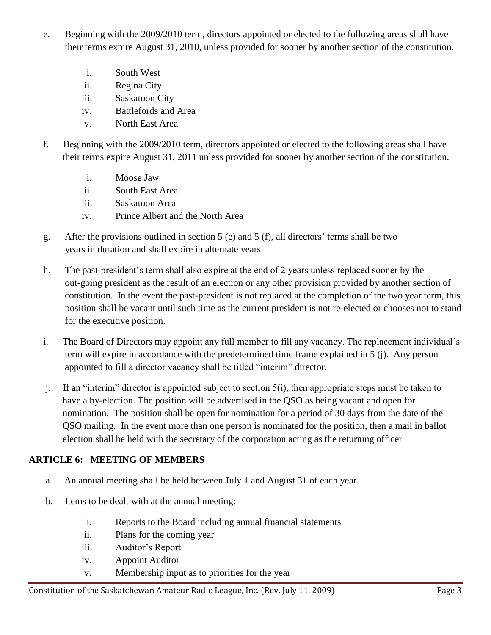- e. Beginning with the 2009/2010 term, directors appointed or elected to the following areas shall have their terms expire August 31, 2010, unless provided for sooner by another section of the constitution.
	- i. South West
	- ii. Regina City
	- iii. Saskatoon City
	- iv. Battlefords and Area
	- v. North East Area
- f. Beginning with the 2009/2010 term, directors appointed or elected to the following areas shall have their terms expire August 31, 2011 unless provided for sooner by another section of the constitution.
	- i. Moose Jaw
	- ii. South East Area
	- iii. Saskatoon Area
	- iv. Prince Albert and the North Area
- g. After the provisions outlined in section 5 (e) and 5 (f), all directors' terms shall be two years in duration and shall expire in alternate years
- h. The past-president's term shall also expire at the end of 2 years unless replaced sooner by the out-going president as the result of an election or any other provision provided by another section of constitution. In the event the past-president is not replaced at the completion of the two year term, this position shall be vacant until such time as the current president is not re-elected or chooses not to stand for the executive position.
- i. The Board of Directors may appoint any full member to fill any vacancy. The replacement individual's term will expire in accordance with the predetermined time frame explained in 5 (j). Any person appointed to fill a director vacancy shall be titled "interim" director.
- j. If an "interim" director is appointed subject to section 5(i), then appropriate steps must be taken to have a by-election. The position will be advertised in the QSO as being vacant and open for nomination. The position shall be open for nomination for a period of 30 days from the date of the QSO mailing. In the event more than one person is nominated for the position, then a mail in ballot election shall be held with the secretary of the corporation acting as the returning officer

#### **ARTICLE 6: MEETING OF MEMBERS**

- a. An annual meeting shall be held between July 1 and August 31 of each year.
- b. Items to be dealt with at the annual meeting:
	- i. Reports to the Board including annual financial statements
	- ii. Plans for the coming year
	- iii. Auditor's Report
	- iv. Appoint Auditor
	- v. Membership input as to priorities for the year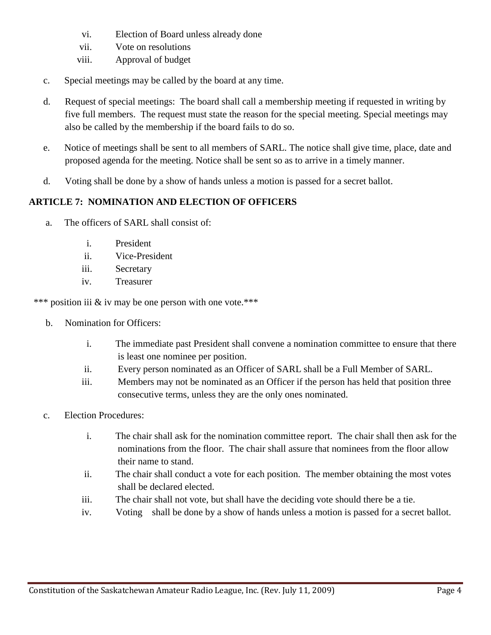- vi. Election of Board unless already done
- vii. Vote on resolutions
- viii. Approval of budget
- c. Special meetings may be called by the board at any time.
- d. Request of special meetings: The board shall call a membership meeting if requested in writing by five full members. The request must state the reason for the special meeting. Special meetings may also be called by the membership if the board fails to do so.
- e. Notice of meetings shall be sent to all members of SARL. The notice shall give time, place, date and proposed agenda for the meeting. Notice shall be sent so as to arrive in a timely manner.
- d. Voting shall be done by a show of hands unless a motion is passed for a secret ballot.

# **ARTICLE 7: NOMINATION AND ELECTION OF OFFICERS**

- a. The officers of SARL shall consist of:
	- i. President
	- ii. Vice-President
	- iii. Secretary
	- iv. Treasurer

\*\*\* position iii & iv may be one person with one vote.\*\*\*

- b. Nomination for Officers:
	- i. The immediate past President shall convene a nomination committee to ensure that there is least one nominee per position.
	- ii. Every person nominated as an Officer of SARL shall be a Full Member of SARL.
	- iii. Members may not be nominated as an Officer if the person has held that position three consecutive terms, unless they are the only ones nominated.
- c. Election Procedures:
	- i. The chair shall ask for the nomination committee report. The chair shall then ask for the nominations from the floor. The chair shall assure that nominees from the floor allow their name to stand.
	- ii. The chair shall conduct a vote for each position. The member obtaining the most votes shall be declared elected.
	- iii. The chair shall not vote, but shall have the deciding vote should there be a tie.
	- iv. Voting shall be done by a show of hands unless a motion is passed for a secret ballot.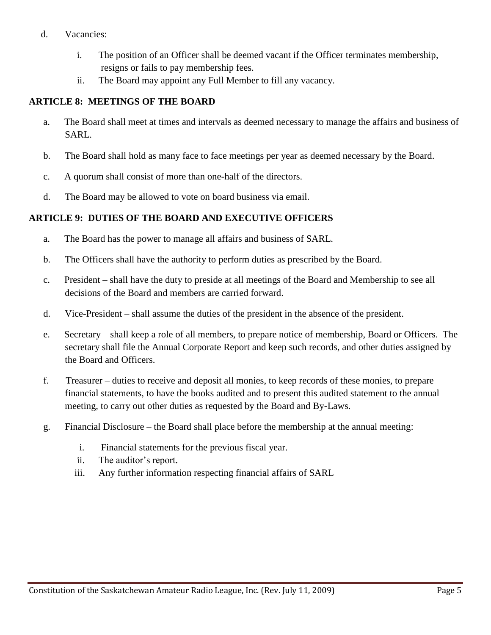#### d. Vacancies:

- i. The position of an Officer shall be deemed vacant if the Officer terminates membership, resigns or fails to pay membership fees.
- ii. The Board may appoint any Full Member to fill any vacancy.

## **ARTICLE 8: MEETINGS OF THE BOARD**

- a. The Board shall meet at times and intervals as deemed necessary to manage the affairs and business of SARL.
- b. The Board shall hold as many face to face meetings per year as deemed necessary by the Board.
- c. A quorum shall consist of more than one-half of the directors.
- d. The Board may be allowed to vote on board business via email.

## **ARTICLE 9: DUTIES OF THE BOARD AND EXECUTIVE OFFICERS**

- a. The Board has the power to manage all affairs and business of SARL.
- b. The Officers shall have the authority to perform duties as prescribed by the Board.
- c. President shall have the duty to preside at all meetings of the Board and Membership to see all decisions of the Board and members are carried forward.
- d. Vice-President shall assume the duties of the president in the absence of the president.
- e. Secretary shall keep a role of all members, to prepare notice of membership, Board or Officers. The secretary shall file the Annual Corporate Report and keep such records, and other duties assigned by the Board and Officers.
- f. Treasurer duties to receive and deposit all monies, to keep records of these monies, to prepare financial statements, to have the books audited and to present this audited statement to the annual meeting, to carry out other duties as requested by the Board and By-Laws.
- g. Financial Disclosure the Board shall place before the membership at the annual meeting:
	- i. Financial statements for the previous fiscal year.
	- ii. The auditor's report.
	- iii. Any further information respecting financial affairs of SARL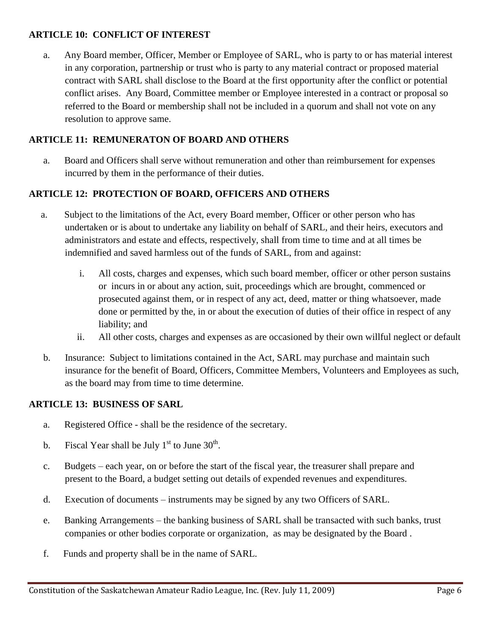## **ARTICLE 10: CONFLICT OF INTEREST**

 a. Any Board member, Officer, Member or Employee of SARL, who is party to or has material interest in any corporation, partnership or trust who is party to any material contract or proposed material contract with SARL shall disclose to the Board at the first opportunity after the conflict or potential conflict arises. Any Board, Committee member or Employee interested in a contract or proposal so referred to the Board or membership shall not be included in a quorum and shall not vote on any resolution to approve same.

## **ARTICLE 11: REMUNERATON OF BOARD AND OTHERS**

 a. Board and Officers shall serve without remuneration and other than reimbursement for expenses incurred by them in the performance of their duties.

# **ARTICLE 12: PROTECTION OF BOARD, OFFICERS AND OTHERS**

- a. Subject to the limitations of the Act, every Board member, Officer or other person who has undertaken or is about to undertake any liability on behalf of SARL, and their heirs, executors and administrators and estate and effects, respectively, shall from time to time and at all times be indemnified and saved harmless out of the funds of SARL, from and against:
	- i. All costs, charges and expenses, which such board member, officer or other person sustains or incurs in or about any action, suit, proceedings which are brought, commenced or prosecuted against them, or in respect of any act, deed, matter or thing whatsoever, made done or permitted by the, in or about the execution of duties of their office in respect of any liability; and
	- ii. All other costs, charges and expenses as are occasioned by their own willful neglect or default
- b. Insurance: Subject to limitations contained in the Act, SARL may purchase and maintain such insurance for the benefit of Board, Officers, Committee Members, Volunteers and Employees as such, as the board may from time to time determine.

## **ARTICLE 13: BUSINESS OF SARL**

- a. Registered Office shall be the residence of the secretary.
- b. Fiscal Year shall be July  $1<sup>st</sup>$  to June 30<sup>th</sup>.
	- c. Budgets each year, on or before the start of the fiscal year, the treasurer shall prepare and present to the Board, a budget setting out details of expended revenues and expenditures.
	- d. Execution of documents instruments may be signed by any two Officers of SARL.
	- e. Banking Arrangements the banking business of SARL shall be transacted with such banks, trust companies or other bodies corporate or organization, as may be designated by the Board .
	- f. Funds and property shall be in the name of SARL.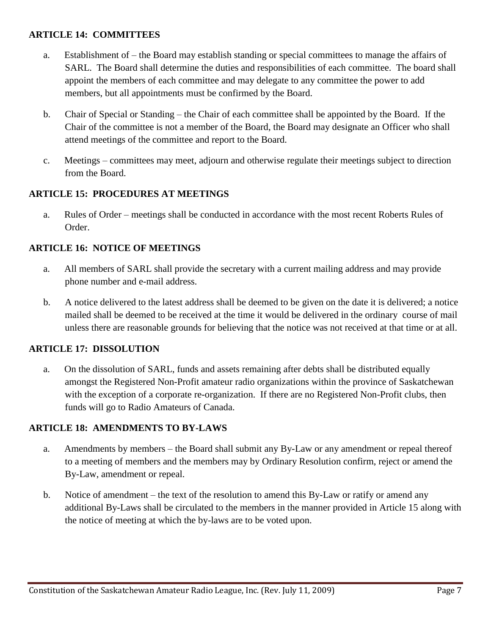## **ARTICLE 14: COMMITTEES**

- a. Establishment of the Board may establish standing or special committees to manage the affairs of SARL. The Board shall determine the duties and responsibilities of each committee. The board shall appoint the members of each committee and may delegate to any committee the power to add members, but all appointments must be confirmed by the Board.
- b. Chair of Special or Standing the Chair of each committee shall be appointed by the Board. If the Chair of the committee is not a member of the Board, the Board may designate an Officer who shall attend meetings of the committee and report to the Board.
- c. Meetings committees may meet, adjourn and otherwise regulate their meetings subject to direction from the Board.

## **ARTICLE 15: PROCEDURES AT MEETINGS**

 a. Rules of Order – meetings shall be conducted in accordance with the most recent Roberts Rules of Order.

## **ARTICLE 16: NOTICE OF MEETINGS**

- a. All members of SARL shall provide the secretary with a current mailing address and may provide phone number and e-mail address.
- b. A notice delivered to the latest address shall be deemed to be given on the date it is delivered; a notice mailed shall be deemed to be received at the time it would be delivered in the ordinary course of mail unless there are reasonable grounds for believing that the notice was not received at that time or at all.

#### **ARTICLE 17: DISSOLUTION**

 a. On the dissolution of SARL, funds and assets remaining after debts shall be distributed equally amongst the Registered Non-Profit amateur radio organizations within the province of Saskatchewan with the exception of a corporate re-organization. If there are no Registered Non-Profit clubs, then funds will go to Radio Amateurs of Canada.

#### **ARTICLE 18: AMENDMENTS TO BY-LAWS**

- a. Amendments by members the Board shall submit any By-Law or any amendment or repeal thereof to a meeting of members and the members may by Ordinary Resolution confirm, reject or amend the By-Law, amendment or repeal.
- b. Notice of amendment the text of the resolution to amend this By-Law or ratify or amend any additional By-Laws shall be circulated to the members in the manner provided in Article 15 along with the notice of meeting at which the by-laws are to be voted upon.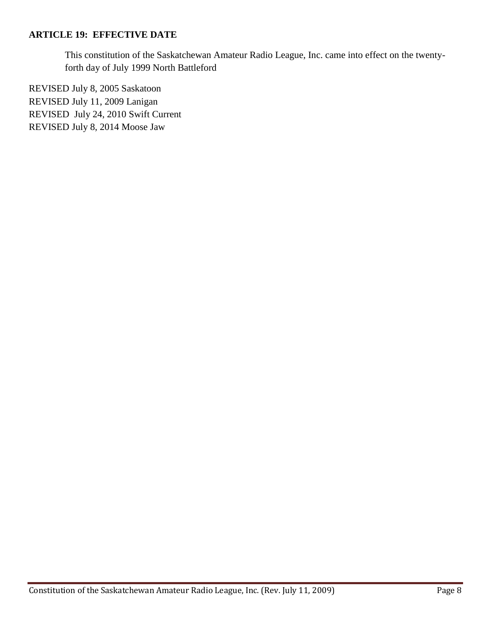#### **ARTICLE 19: EFFECTIVE DATE**

 This constitution of the Saskatchewan Amateur Radio League, Inc. came into effect on the twenty forth day of July 1999 North Battleford

REVISED July 8, 2005 Saskatoon REVISED July 11, 2009 Lanigan REVISED July 24, 2010 Swift Current REVISED July 8, 2014 Moose Jaw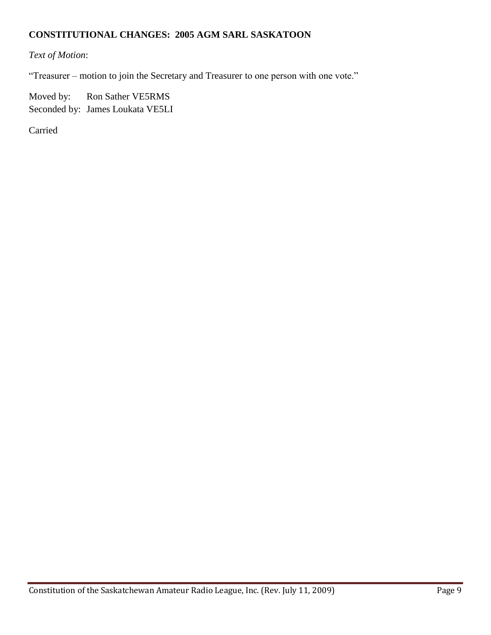## **CONSTITUTIONAL CHANGES: 2005 AGM SARL SASKATOON**

# *Text of Motion*:

"Treasurer – motion to join the Secretary and Treasurer to one person with one vote."

Moved by: Ron Sather VE5RMS Seconded by: James Loukata VE5LI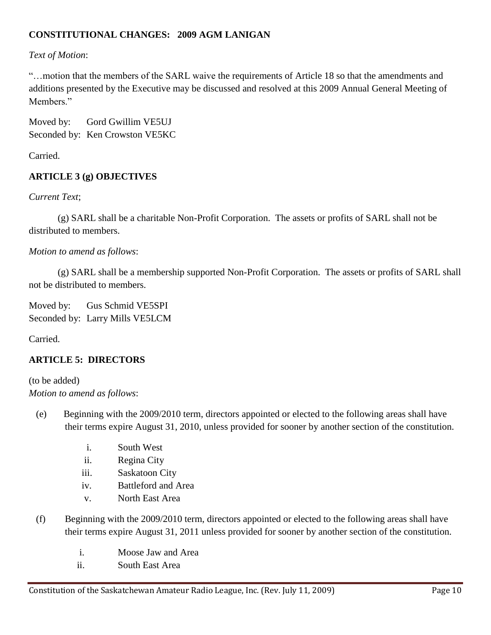# **CONSTITUTIONAL CHANGES: 2009 AGM LANIGAN**

## *Text of Motion*:

"…motion that the members of the SARL waive the requirements of Article 18 so that the amendments and additions presented by the Executive may be discussed and resolved at this 2009 Annual General Meeting of Members<sup>"</sup>

Moved by: Gord Gwillim VE5UJ Seconded by: Ken Crowston VE5KC

Carried.

## **ARTICLE 3 (g) OBJECTIVES**

*Current Text*;

(g) SARL shall be a charitable Non-Profit Corporation. The assets or profits of SARL shall not be distributed to members.

## *Motion to amend as follows*:

(g) SARL shall be a membership supported Non-Profit Corporation. The assets or profits of SARL shall not be distributed to members.

Moved by: Gus Schmid VE5SPI Seconded by: Larry Mills VE5LCM

Carried.

## **ARTICLE 5: DIRECTORS**

(to be added) *Motion to amend as follows*:

- (e) Beginning with the 2009/2010 term, directors appointed or elected to the following areas shall have their terms expire August 31, 2010, unless provided for sooner by another section of the constitution.
	- i. South West
	- ii. Regina City
	- iii. Saskatoon City
	- iv. Battleford and Area
	- v. North East Area
- (f) Beginning with the 2009/2010 term, directors appointed or elected to the following areas shall have their terms expire August 31, 2011 unless provided for sooner by another section of the constitution.
	- i. Moose Jaw and Area
	- ii. South East Area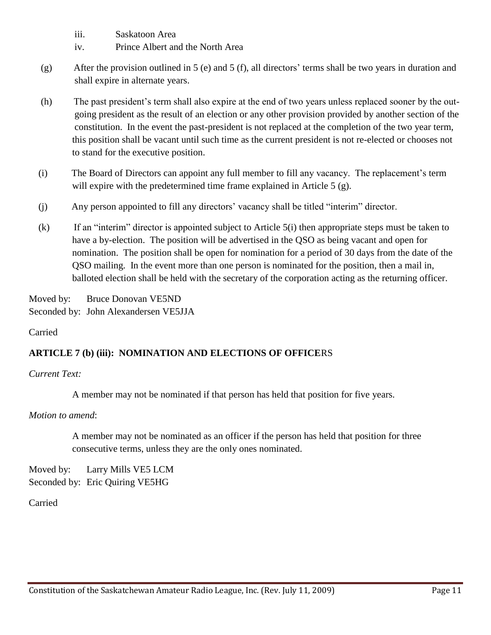- iii. Saskatoon Area
- iv. Prince Albert and the North Area
- (g) After the provision outlined in 5 (e) and 5 (f), all directors' terms shall be two years in duration and shall expire in alternate years.
- (h) The past president's term shall also expire at the end of two years unless replaced sooner by the out going president as the result of an election or any other provision provided by another section of the constitution. In the event the past-president is not replaced at the completion of the two year term, this position shall be vacant until such time as the current president is not re-elected or chooses not to stand for the executive position.
- (i) The Board of Directors can appoint any full member to fill any vacancy. The replacement's term will expire with the predetermined time frame explained in Article 5 (g).
- (j) Any person appointed to fill any directors' vacancy shall be titled "interim" director.
- (k) If an "interim" director is appointed subject to Article 5(i) then appropriate steps must be taken to have a by-election. The position will be advertised in the QSO as being vacant and open for nomination. The position shall be open for nomination for a period of 30 days from the date of the QSO mailing. In the event more than one person is nominated for the position, then a mail in, balloted election shall be held with the secretary of the corporation acting as the returning officer.

Moved by: Bruce Donovan VE5ND Seconded by: John Alexandersen VE5JJA

Carried

## **ARTICLE 7 (b) (iii): NOMINATION AND ELECTIONS OF OFFICE**RS

*Current Text:*

A member may not be nominated if that person has held that position for five years.

*Motion to amend*:

 A member may not be nominated as an officer if the person has held that position for three consecutive terms, unless they are the only ones nominated.

Moved by: Larry Mills VE5 LCM Seconded by: Eric Quiring VE5HG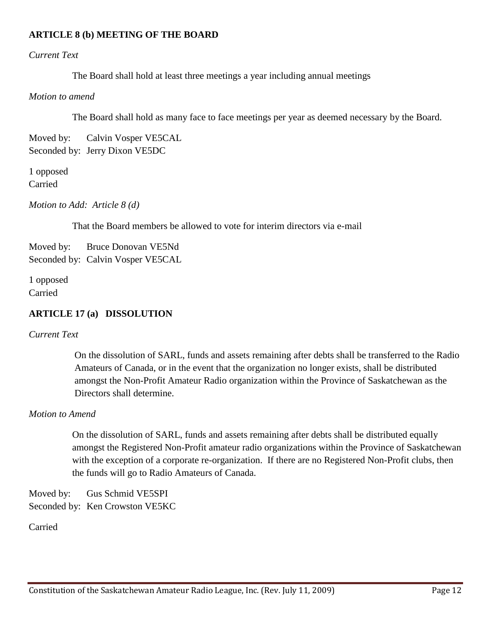#### **ARTICLE 8 (b) MEETING OF THE BOARD**

#### *Current Text*

The Board shall hold at least three meetings a year including annual meetings

*Motion to amend*

The Board shall hold as many face to face meetings per year as deemed necessary by the Board.

Moved by: Calvin Vosper VE5CAL Seconded by: Jerry Dixon VE5DC

1 opposed Carried

*Motion to Add: Article 8 (d)*

That the Board members be allowed to vote for interim directors via e-mail

Moved by: Bruce Donovan VE5Nd Seconded by: Calvin Vosper VE5CAL

1 opposed Carried

#### **ARTICLE 17 (a) DISSOLUTION**

*Current Text*

 On the dissolution of SARL, funds and assets remaining after debts shall be transferred to the Radio Amateurs of Canada, or in the event that the organization no longer exists, shall be distributed amongst the Non-Profit Amateur Radio organization within the Province of Saskatchewan as the Directors shall determine.

#### *Motion to Amend*

 On the dissolution of SARL, funds and assets remaining after debts shall be distributed equally amongst the Registered Non-Profit amateur radio organizations within the Province of Saskatchewan with the exception of a corporate re-organization. If there are no Registered Non-Profit clubs, then the funds will go to Radio Amateurs of Canada.

Moved by: Gus Schmid VE5SPI Seconded by: Ken Crowston VE5KC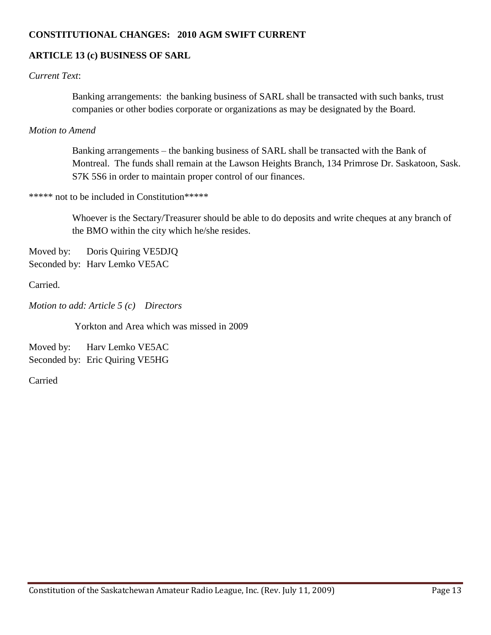### **CONSTITUTIONAL CHANGES: 2010 AGM SWIFT CURRENT**

## **ARTICLE 13 (c) BUSINESS OF SARL**

### *Current Text*:

 Banking arrangements: the banking business of SARL shall be transacted with such banks, trust companies or other bodies corporate or organizations as may be designated by the Board.

#### *Motion to Amend*

 Banking arrangements – the banking business of SARL shall be transacted with the Bank of Montreal. The funds shall remain at the Lawson Heights Branch, 134 Primrose Dr. Saskatoon, Sask. S7K 5S6 in order to maintain proper control of our finances.

#### \*\*\*\*\* not to be included in Constitution\*\*\*\*\*

 Whoever is the Sectary/Treasurer should be able to do deposits and write cheques at any branch of the BMO within the city which he/she resides.

Moved by: Doris Quiring VE5DJQ Seconded by: Harv Lemko VE5AC

Carried.

*Motion to add: Article 5 (c) Directors*

Yorkton and Area which was missed in 2009

Moved by: Harv Lemko VE5AC Seconded by: Eric Quiring VE5HG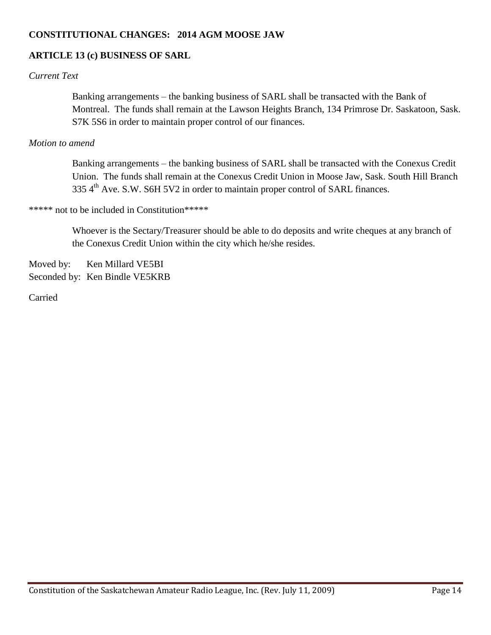### **CONSTITUTIONAL CHANGES: 2014 AGM MOOSE JAW**

## **ARTICLE 13 (c) BUSINESS OF SARL**

### *Current Text*

 Banking arrangements – the banking business of SARL shall be transacted with the Bank of Montreal. The funds shall remain at the Lawson Heights Branch, 134 Primrose Dr. Saskatoon, Sask. S7K 5S6 in order to maintain proper control of our finances.

#### *Motion to amend*

 Banking arrangements – the banking business of SARL shall be transacted with the Conexus Credit Union. The funds shall remain at the Conexus Credit Union in Moose Jaw, Sask. South Hill Branch 335 4<sup>th</sup> Ave. S.W. S6H 5V2 in order to maintain proper control of SARL finances.

\*\*\*\*\* not to be included in Constitution\*\*\*\*\*

 Whoever is the Sectary/Treasurer should be able to do deposits and write cheques at any branch of the Conexus Credit Union within the city which he/she resides.

Moved by: Ken Millard VE5BI

Seconded by: Ken Bindle VE5KRB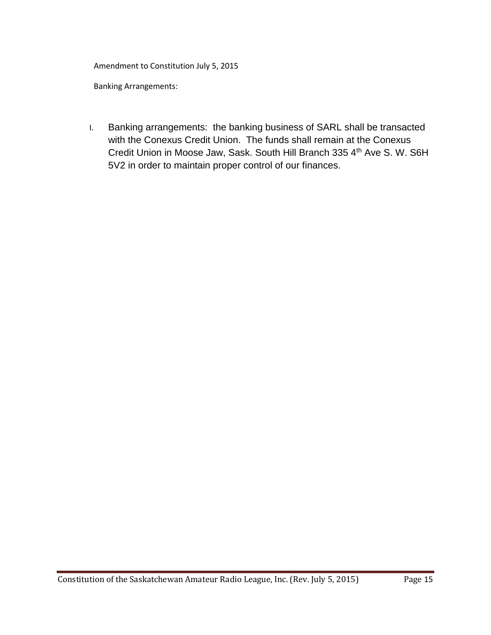Amendment to Constitution July 5, 2015

Banking Arrangements:

I. Banking arrangements: the banking business of SARL shall be transacted with the Conexus Credit Union. The funds shall remain at the Conexus Credit Union in Moose Jaw, Sask. South Hill Branch 335 4<sup>th</sup> Ave S. W. S6H 5V2 in order to maintain proper control of our finances.